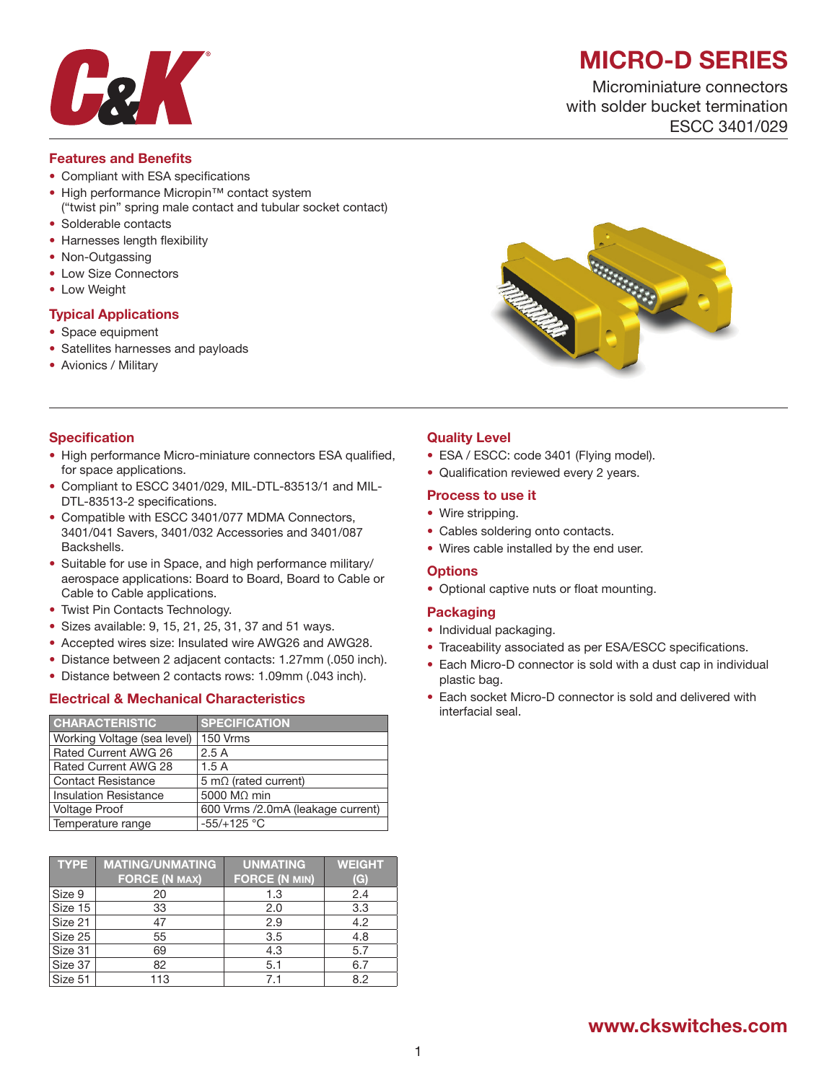

# MICRO-D SERIES

Microminiature connectors with solder bucket termination ESCC 3401/029

#### Features and Benefits

- Compliant with ESA specifications
- High performance Micropin™ contact system ("twist pin" spring male contact and tubular socket contact)
- Solderable contacts • Harnesses length flexibility
- Non-Outgassing
- Low Size Connectors
- Low Weight

#### Typical Applications

- Space equipment
- Satellites harnesses and payloads
- Avionics / Military



#### **Specification**

- High performance Micro-miniature connectors ESA qualified, for space applications.
- Compliant to ESCC 3401/029, MIL-DTL-83513/1 and MIL-DTL-83513-2 specifications.
- Compatible with ESCC 3401/077 MDMA Connectors, 3401/041 Savers, 3401/032 Accessories and 3401/087 Backshells.
- Suitable for use in Space, and high performance military/ aerospace applications: Board to Board, Board to Cable or Cable to Cable applications.
- Twist Pin Contacts Technology.
- Sizes available: 9, 15, 21, 25, 31, 37 and 51 ways.
- Accepted wires size: Insulated wire AWG26 and AWG28.
- Distance between 2 adjacent contacts: 1.27mm (.050 inch).
- Distance between 2 contacts rows: 1.09mm (.043 inch).

#### Electrical & Mechanical Characteristics

| <b>CHARACTERISTIC</b>        | <b>SPECIFICATION</b>              |
|------------------------------|-----------------------------------|
| Working Voltage (sea level)  | 150 Vrms                          |
| Rated Current AWG 26         | 2.5A                              |
| Rated Current AWG 28         | 1.5A                              |
| <b>Contact Resistance</b>    | 5 m $\Omega$ (rated current)      |
| <b>Insulation Resistance</b> | 5000 $M\Omega$ min                |
| <b>Voltage Proof</b>         | 600 Vrms /2.0mA (leakage current) |
| Temperature range            | $-55/+125$ °C                     |

| <b>TYPE</b> | <b>MATING/UNMATING</b><br><b>FORCE (N MAX)</b> | <b>UNMATING</b><br><b>FORCE (N MIN)</b> | <b>WEIGHT</b><br>(G) |
|-------------|------------------------------------------------|-----------------------------------------|----------------------|
| Size 9      | 20                                             | 1.3                                     | 2.4                  |
| Size 15     | 33                                             | 2.0                                     | 3.3                  |
| Size 21     | 47                                             | 2.9                                     | 4.2                  |
| Size 25     | 55                                             | 3.5                                     | 4.8                  |
| Size 31     | 69                                             | 4.3                                     | 5.7                  |
| Size 37     | 82                                             | 5.1                                     | 6.7                  |
| Size 51     | 113                                            | 7.1                                     | 8.2                  |

#### Quality Level

- ESA / ESCC: code 3401 (Flying model).
- Qualification reviewed every 2 years.

#### Process to use it

- Wire stripping.
- Cables soldering onto contacts.
- Wires cable installed by the end user.

#### **Options**

• Optional captive nuts or float mounting.

#### **Packaging**

- Individual packaging.
- Traceability associated as per ESA/ESCC specifications.
- Each Micro-D connector is sold with a dust cap in individual plastic bag.
- Each socket Micro-D connector is sold and delivered with interfacial seal.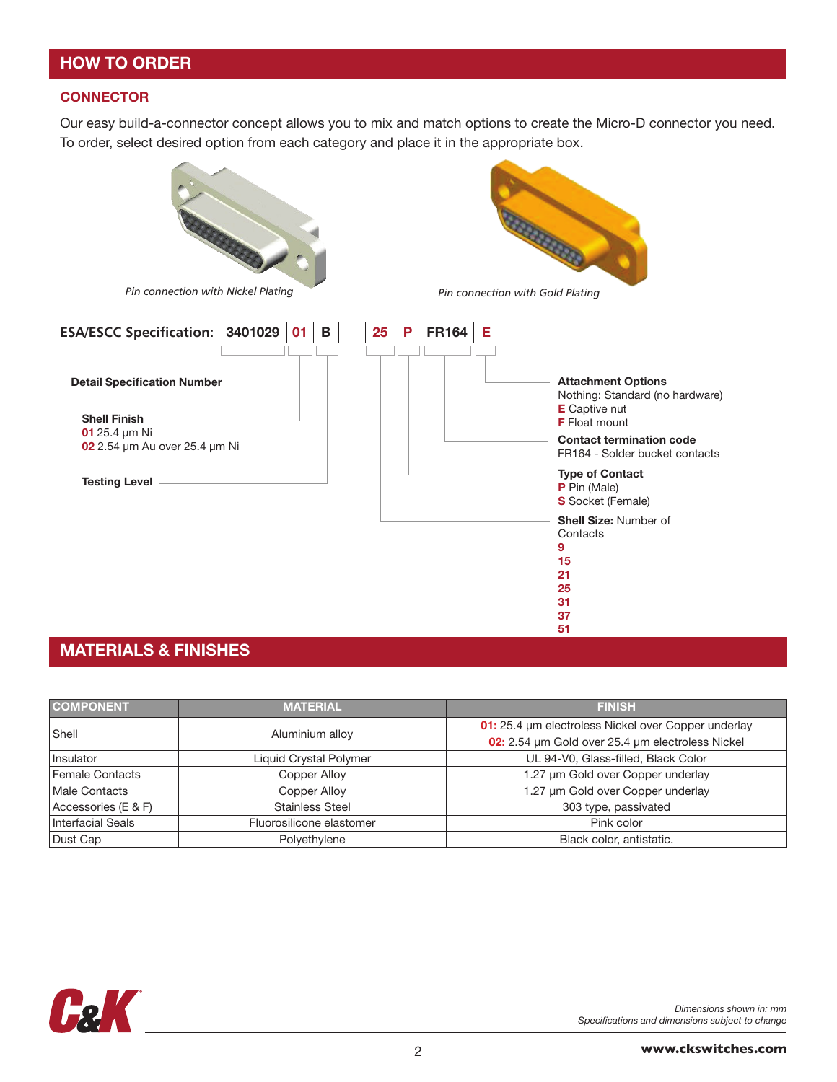## HOW TO ORDER

#### **CONNECTOR**

Our easy build-a-connector concept allows you to mix and match options to create the Micro-D connector you need. To order, select desired option from each category and place it in the appropriate box.



## MATERIALS & FINISHES

| <b>COMPONENT</b>                    | <b>MATERIAL</b>          | <b>FINISH</b>                                       |  |  |
|-------------------------------------|--------------------------|-----------------------------------------------------|--|--|
| Shell                               |                          | 01: 25.4 µm electroless Nickel over Copper underlay |  |  |
|                                     | Aluminium alloy          | 02: 2.54 µm Gold over 25.4 µm electroless Nickel    |  |  |
| Insulator<br>Liquid Crystal Polymer |                          | UL 94-V0, Glass-filled, Black Color                 |  |  |
| Female Contacts                     | Copper Alloy             | 1.27 µm Gold over Copper underlay                   |  |  |
| Male Contacts                       | Copper Alloy             | 1.27 µm Gold over Copper underlay                   |  |  |
| Accessories (E & F)                 | <b>Stainless Steel</b>   | 303 type, passivated                                |  |  |
| Interfacial Seals                   | Fluorosilicone elastomer | Pink color                                          |  |  |
| Dust Cap                            | Polyethylene             | Black color, antistatic.                            |  |  |



*Dimensions shown in: mm Specifications and dimensions subject to change*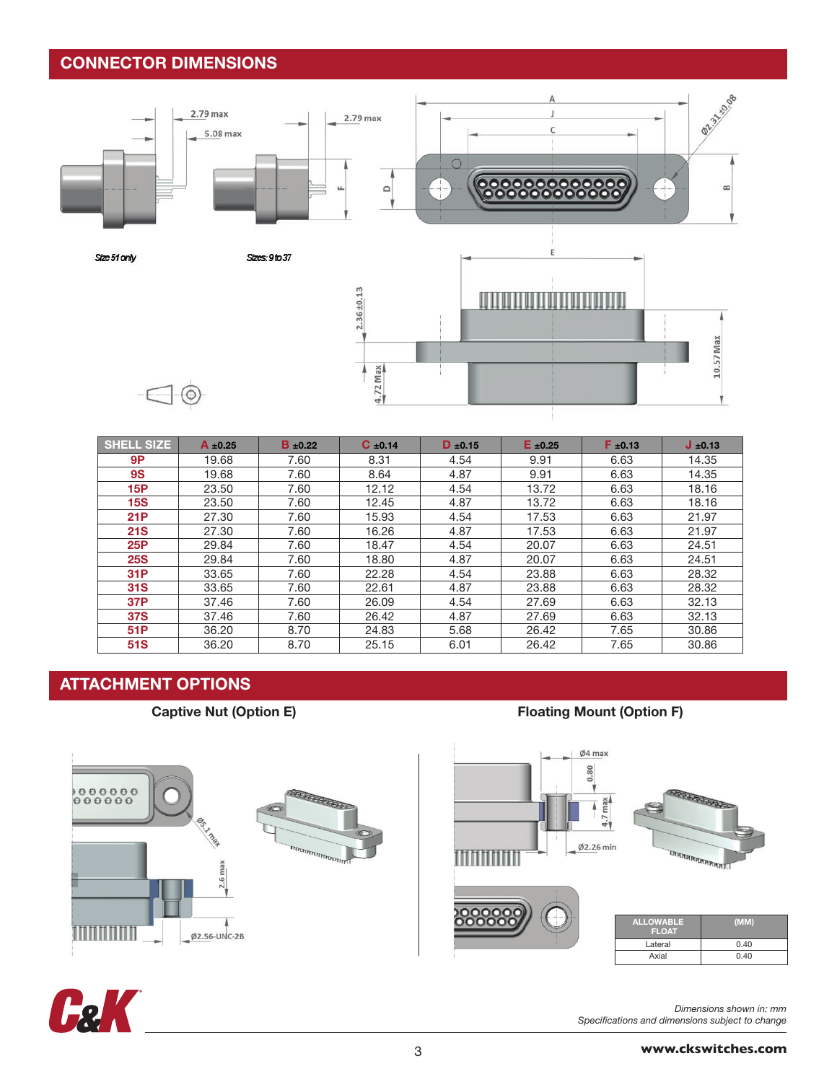## CONNECTOR DIMENSIONS



| SHELL SIZE | $A \pm 0.25$ | $B \pm 0.22$ | $C \pm 0.14$ | $D \pm 0.15$ | $E \pm 0.25$ | $F \pm 0.13$ | $J_{\pm 0.13}$ |
|------------|--------------|--------------|--------------|--------------|--------------|--------------|----------------|
| 9P         | 19.68        | 7.60         | 8.31         | 4.54         | 9.91         | 6.63         | 14.35          |
| <b>9S</b>  | 19.68        | 7.60         | 8.64         | 4.87         | 9.91         | 6.63         | 14.35          |
| 15P        | 23.50        | 7.60         | 12.12        | 4.54         | 13.72        | 6.63         | 18.16          |
| <b>15S</b> | 23.50        | 7.60         | 12.45        | 4.87         | 13.72        | 6.63         | 18.16          |
| <b>21P</b> | 27.30        | 7.60         | 15.93        | 4.54         | 17.53        | 6.63         | 21.97          |
| <b>21S</b> | 27.30        | 7.60         | 16.26        | 4.87         | 17.53        | 6.63         | 21.97          |
| 25P        | 29.84        | 7.60         | 18.47        | 4.54         | 20.07        | 6.63         | 24.51          |
| <b>25S</b> | 29.84        | 7.60         | 18.80        | 4.87         | 20.07        | 6.63         | 24.51          |
| 31P        | 33.65        | 7.60         | 22.28        | 4.54         | 23.88        | 6.63         | 28.32          |
| <b>31S</b> | 33.65        | 7.60         | 22.61        | 4.87         | 23.88        | 6.63         | 28.32          |
| 37P        | 37.46        | 7.60         | 26.09        | 4.54         | 27.69        | 6.63         | 32.13          |
| <b>37S</b> | 37.46        | 7.60         | 26.42        | 4.87         | 27.69        | 6.63         | 32.13          |
| 51P        | 36.20        | 8.70         | 24.83        | 5.68         | 26.42        | 7.65         | 30.86          |
| 51S        | 36.20        | 8.70         | 25.15        | 6.01         | 26.42        | 7.65         | 30.86          |

## ATTACHMENT OPTIONS



### Captive Nut (Option E) Captive Nut (Option E)





*Dimensions shown in: mm Specifications and dimensions subject to change*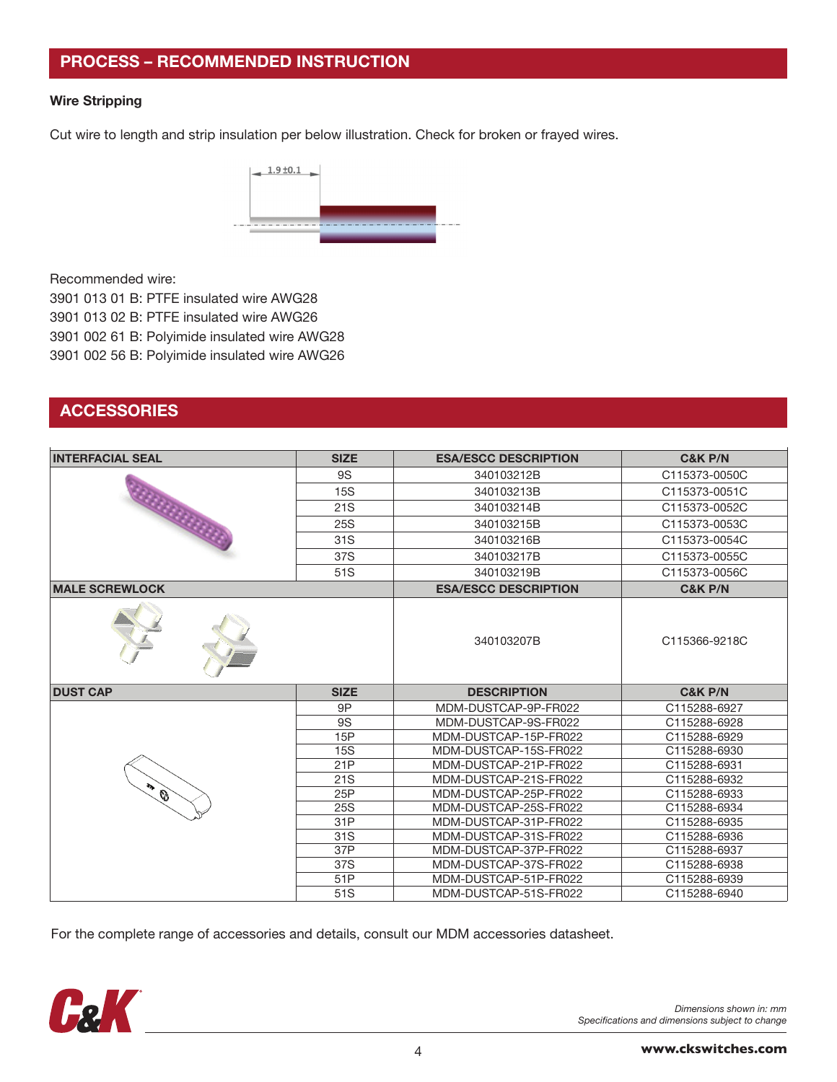## PROCESS – RECOMMENDED INSTRUCTION

#### Wire Stripping

Cut wire to length and strip insulation per below illustration. Check for broken or frayed wires.



Recommended wire:

3901 013 01 B: PTFE insulated wire AWG28

3901 013 02 B: PTFE insulated wire AWG26

3901 002 61 B: Polyimide insulated wire AWG28

3901 002 56 B: Polyimide insulated wire AWG26

## **ACCESSORIES**

| <b>INTERFACIAL SEAL</b> | <b>SIZE</b>     | <b>ESA/ESCC DESCRIPTION</b> | <b>C&amp;K P/N</b> |  |
|-------------------------|-----------------|-----------------------------|--------------------|--|
|                         | <b>9S</b>       | 340103212B                  | C115373-0050C      |  |
|                         | <b>15S</b>      | 340103213B                  | C115373-0051C      |  |
|                         | 21S             | 340103214B                  | C115373-0052C      |  |
|                         | 25S             | 340103215B                  | C115373-0053C      |  |
| <b>ANTIQUE</b>          | 31S             | 340103216B                  | C115373-0054C      |  |
|                         | 37S             | 340103217B                  | C115373-0055C      |  |
|                         | 51S             | 340103219B                  | C115373-0056C      |  |
| <b>MALE SCREWLOCK</b>   |                 | <b>ESA/ESCC DESCRIPTION</b> | <b>C&amp;K P/N</b> |  |
|                         |                 | 340103207B                  | C115366-9218C      |  |
| <b>DUST CAP</b>         | <b>SIZE</b>     | <b>DESCRIPTION</b>          | <b>C&amp;K P/N</b> |  |
|                         | 9P              | MDM-DUSTCAP-9P-FR022        | C115288-6927       |  |
|                         | <b>9S</b>       | MDM-DUSTCAP-9S-FR022        | C115288-6928       |  |
|                         | 15P             | MDM-DUSTCAP-15P-FR022       | C115288-6929       |  |
|                         | <b>15S</b>      | MDM-DUSTCAP-15S-FR022       | C115288-6930       |  |
|                         | 21P             | MDM-DUSTCAP-21P-FR022       | C115288-6931       |  |
|                         | 21S             | MDM-DUSTCAP-21S-FR022       | C115288-6932       |  |
| 不合                      | 25P             | MDM-DUSTCAP-25P-FR022       | C115288-6933       |  |
|                         | 25S             | MDM-DUSTCAP-25S-FR022       | C115288-6934       |  |
|                         | 31P             | MDM-DUSTCAP-31P-FR022       | C115288-6935       |  |
|                         | 31 <sub>S</sub> | MDM-DUSTCAP-31S-FR022       | C115288-6936       |  |
|                         | 37P             | MDM-DUSTCAP-37P-FR022       | C115288-6937       |  |
|                         | 37S             | MDM-DUSTCAP-37S-FR022       | C115288-6938       |  |
|                         | 51P             | MDM-DUSTCAP-51P-FR022       | C115288-6939       |  |
|                         | 51S             | MDM-DUSTCAP-51S-FR022       | C115288-6940       |  |

For the complete range of accessories and details, consult our MDM accessories datasheet.